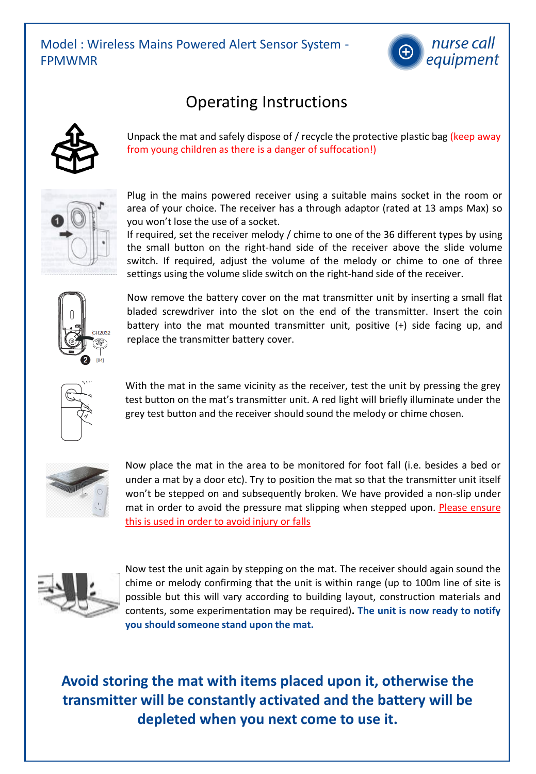

## Operating Instructions



Unpack the mat and safely dispose of / recycle the protective plastic bag (keep away from young children as there is a danger of suffocation!)



Plug in the mains powered receiver using a suitable mains socket in the room or area of your choice. The receiver has a through adaptor (rated at 13 amps Max) so you won't lose the use of a socket.

If required, set the receiver melody / chime to one of the 36 different types by using the small button on the right-hand side of the receiver above the slide volume switch. If required, adjust the volume of the melody or chime to one of three settings using the volume slide switch on the right-hand side of the receiver.



Now remove the battery cover on the mat transmitter unit by inserting a small flat bladed screwdriver into the slot on the end of the transmitter. Insert the coin battery into the mat mounted transmitter unit, positive (+) side facing up, and replace the transmitter battery cover.



With the mat in the same vicinity as the receiver, test the unit by pressing the grey test button on the mat's transmitter unit. A red light will briefly illuminate under the grey test button and the receiver should sound the melody or chime chosen.



Now place the mat in the area to be monitored for foot fall (i.e. besides a bed or under a mat by a door etc). Try to position the mat so that the transmitter unit itself won't be stepped on and subsequently broken. We have provided a non-slip under mat in order to avoid the pressure mat slipping when stepped upon. Please ensure this is used in order to avoid injury or falls



Now test the unit again by stepping on the mat. The receiver should again sound the chime or melody confirming that the unit is within range (up to 100m line of site is possible but this will vary according to building layout, construction materials and contents, some experimentation may be required)**. The unit is now ready to notify you should someone stand upon the mat.**

**Avoid storing the mat with items placed upon it, otherwise the transmitter will be constantly activated and the battery will be depleted when you next come to use it.**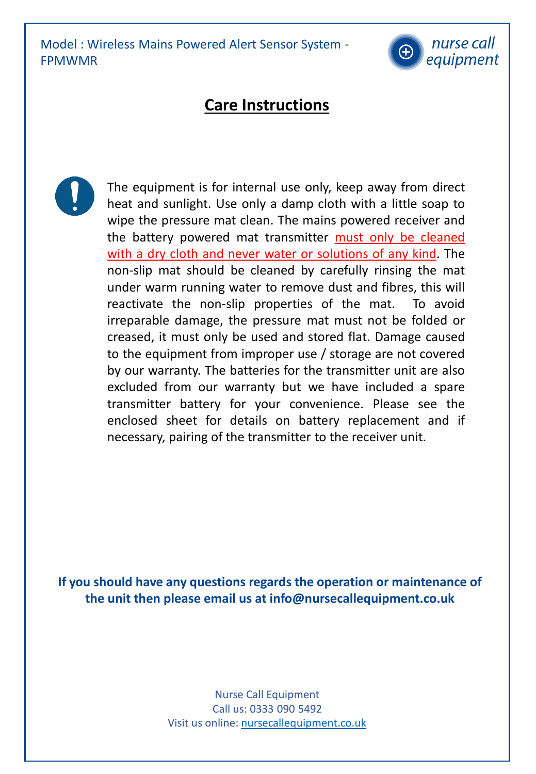Model : Wireless Mains Powered Alert Sensor System - FPMWMR



## **Care Instructions**



The equipment is for internal use only, keep away from direct heat and sunlight. Use only a damp cloth with a little soap to wipe the pressure mat clean. The mains powered receiver and the battery powered mat transmitter must only be cleaned with a dry cloth and never water or solutions of any kind. The non-slip mat should be cleaned by carefully rinsing the mat under warm running water to remove dust and fibres, this will reactivate the non-slip properties of the mat. To avoid irreparable damage, the pressure mat must not be folded or creased, it must only be used and stored flat. Damage caused to the equipment from improper use / storage are not covered by our warranty. The batteries for the transmitter unit are also excluded from our warranty but we have included a spare transmitter battery for your convenience. Please see the enclosed sheet for details on battery replacement and if necessary, pairing of the transmitter to the receiver unit.

**If you should have any questions regards the operation or maintenance of the unit then please email us at info@nursecallequipment.co.uk**

> Nurse Call Equipment Call us: 0333 090 5492 Visit us online: [nursecallequipment.co.uk](mailto:sales@nursecallequipment.co.uk)